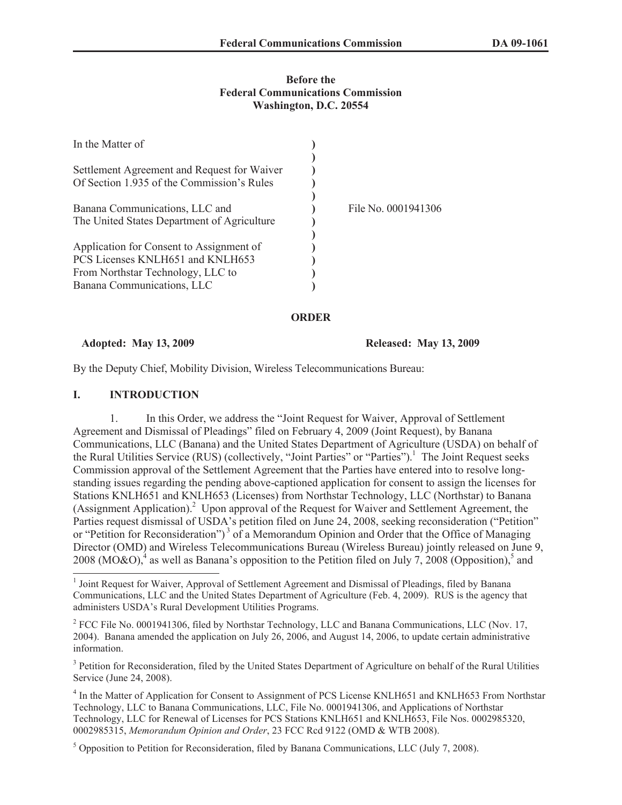### **Before the Federal Communications Commission Washington, D.C. 20554**

| In the Matter of                            |                     |
|---------------------------------------------|---------------------|
|                                             |                     |
| Settlement Agreement and Request for Waiver |                     |
| Of Section 1.935 of the Commission's Rules  |                     |
|                                             |                     |
| Banana Communications, LLC and              | File No. 0001941306 |
| The United States Department of Agriculture |                     |
|                                             |                     |
| Application for Consent to Assignment of    |                     |
| PCS Licenses KNLH651 and KNLH653            |                     |
| From Northstar Technology, LLC to           |                     |
| Banana Communications, LLC                  |                     |

## **ORDER**

**Adopted: May 13, 2009 Released: May 13, 2009**

By the Deputy Chief, Mobility Division, Wireless Telecommunications Bureau:

## **I. INTRODUCTION**

1. In this Order, we address the "Joint Request for Waiver, Approval of Settlement Agreement and Dismissal of Pleadings" filed on February 4, 2009 (Joint Request), by Banana Communications, LLC (Banana) and the United States Department of Agriculture (USDA) on behalf of the Rural Utilities Service (RUS) (collectively, "Joint Parties" or "Parties").<sup>1</sup> The Joint Request seeks Commission approval of the Settlement Agreement that the Parties have entered into to resolve longstanding issues regarding the pending above-captioned application for consent to assign the licenses for Stations KNLH651 and KNLH653 (Licenses) from Northstar Technology, LLC (Northstar) to Banana (Assignment Application).<sup>2</sup> Upon approval of the Request for Waiver and Settlement Agreement, the Parties request dismissal of USDA's petition filed on June 24, 2008, seeking reconsideration ("Petition" or "Petition for Reconsideration")<sup>3</sup> of a Memorandum Opinion and Order that the Office of Managing Director (OMD) and Wireless Telecommunications Bureau (Wireless Bureau) jointly released on June 9, 2008 (MO&O),<sup>4</sup> as well as Banana's opposition to the Petition filed on July 7, 2008 (Opposition),<sup>5</sup> and

<sup>2</sup> FCC File No. 0001941306, filed by Northstar Technology, LLC and Banana Communications, LLC (Nov. 17, 2004). Banana amended the application on July 26, 2006, and August 14, 2006, to update certain administrative information.

<sup>3</sup> Petition for Reconsideration, filed by the United States Department of Agriculture on behalf of the Rural Utilities Service (June 24, 2008).

<sup>4</sup> In the Matter of Application for Consent to Assignment of PCS License KNLH651 and KNLH653 From Northstar Technology, LLC to Banana Communications, LLC, File No. 0001941306, and Applications of Northstar Technology, LLC for Renewal of Licenses for PCS Stations KNLH651 and KNLH653, File Nos. 0002985320, 0002985315, *Memorandum Opinion and Order*, 23 FCC Rcd 9122 (OMD & WTB 2008).

<sup>5</sup> Opposition to Petition for Reconsideration, filed by Banana Communications, LLC (July 7, 2008).

<sup>&</sup>lt;sup>1</sup> Joint Request for Waiver, Approval of Settlement Agreement and Dismissal of Pleadings, filed by Banana Communications, LLC and the United States Department of Agriculture (Feb. 4, 2009). RUS is the agency that administers USDA's Rural Development Utilities Programs.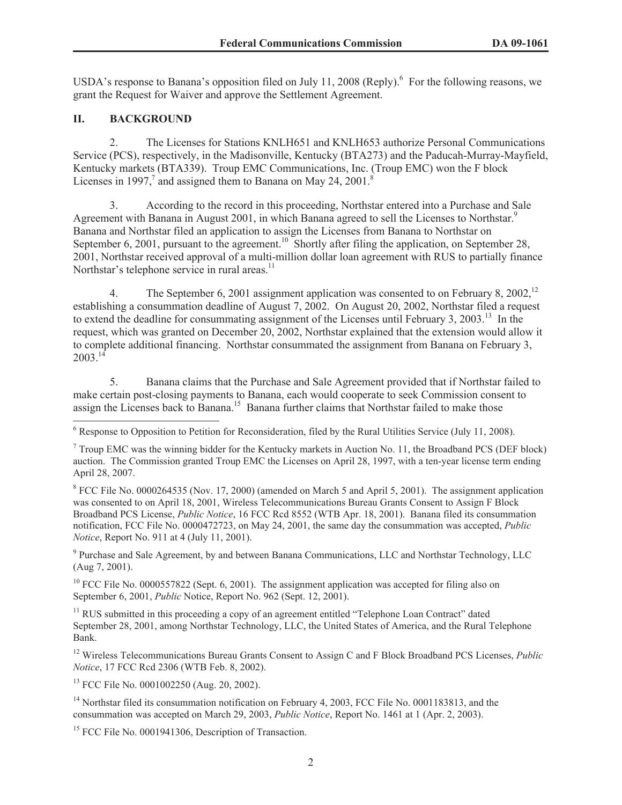USDA's response to Banana's opposition filed on July 11, 2008 (Reply). <sup>6</sup> For the following reasons, we grant the Request for Waiver and approve the Settlement Agreement.

### **II. BACKGROUND**

2. The Licenses for Stations KNLH651 and KNLH653 authorize Personal Communications Service (PCS), respectively, in the Madisonville, Kentucky (BTA273) and the Paducah-Murray-Mayfield, Kentucky markets (BTA339). Troup EMC Communications, Inc. (Troup EMC) won the F block Licenses in 1997, $^7$  and assigned them to Banana on May 24, 2001.<sup>8</sup>

3. According to the record in this proceeding, Northstar entered into a Purchase and Sale Agreement with Banana in August 2001, in which Banana agreed to sell the Licenses to Northstar.<sup>9</sup> Banana and Northstar filed an application to assign the Licenses from Banana to Northstar on September 6, 2001, pursuant to the agreement.<sup>10</sup> Shortly after filing the application, on September 28, 2001, Northstar received approval of a multi-million dollar loan agreement with RUS to partially finance Northstar's telephone service in rural areas.<sup>11</sup>

4. The September 6, 2001 assignment application was consented to on February 8, 2002.<sup>12</sup> establishing a consummation deadline of August 7, 2002. On August 20, 2002, Northstar filed a request to extend the deadline for consummating assignment of the Licenses until February 3, 2003.<sup>13</sup> In the request, which was granted on December 20, 2002, Northstar explained that the extension would allow it to complete additional financing. Northstar consummated the assignment from Banana on February 3,  $2003^{14}$ 

5. Banana claims that the Purchase and Sale Agreement provided that if Northstar failed to make certain post-closing payments to Banana, each would cooperate to seek Commission consent to assign the Licenses back to Banana.<sup>15</sup> Banana further claims that Northstar failed to make those

 $8$  FCC File No. 0000264535 (Nov. 17, 2000) (amended on March 5 and April 5, 2001). The assignment application was consented to on April 18, 2001, Wireless Telecommunications Bureau Grants Consent to Assign F Block Broadband PCS License, *Public Notice*, 16 FCC Rcd 8552 (WTB Apr. 18, 2001). Banana filed its consummation notification, FCC File No. 0000472723, on May 24, 2001, the same day the consummation was accepted, *Public Notice*, Report No. 911 at 4 (July 11, 2001).

<sup>9</sup> Purchase and Sale Agreement, by and between Banana Communications, LLC and Northstar Technology, LLC (Aug 7, 2001).

 $10$  FCC File No. 0000557822 (Sept. 6, 2001). The assignment application was accepted for filing also on September 6, 2001, *Public* Notice, Report No. 962 (Sept. 12, 2001).

<sup>11</sup> RUS submitted in this proceeding a copy of an agreement entitled "Telephone Loan Contract" dated September 28, 2001, among Northstar Technology, LLC, the United States of America, and the Rural Telephone Bank.

<sup>12</sup> Wireless Telecommunications Bureau Grants Consent to Assign C and F Block Broadband PCS Licenses, *Public Notice*, 17 FCC Rcd 2306 (WTB Feb. 8, 2002).

<sup>13</sup> FCC File No. 0001002250 (Aug. 20, 2002).

<sup>14</sup> Northstar filed its consummation notification on February 4, 2003, FCC File No. 0001183813, and the consummation was accepted on March 29, 2003, *Public Notice*, Report No. 1461 at 1 (Apr. 2, 2003).

<sup>15</sup> FCC File No. 0001941306, Description of Transaction.

<sup>6</sup> Response to Opposition to Petition for Reconsideration, filed by the Rural Utilities Service (July 11, 2008).

<sup>7</sup> Troup EMC was the winning bidder for the Kentucky markets in Auction No. 11, the Broadband PCS (DEF block) auction. The Commission granted Troup EMC the Licenses on April 28, 1997, with a ten-year license term ending April 28, 2007.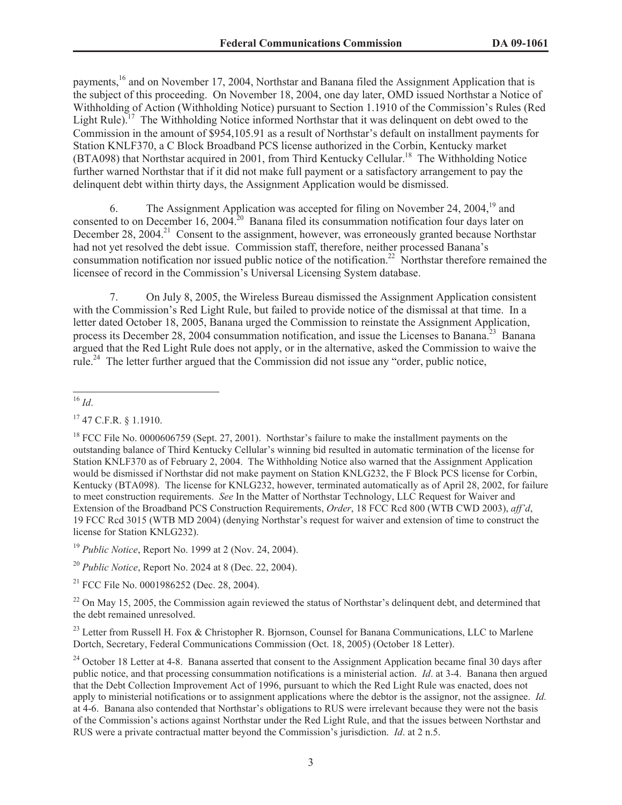payments,<sup>16</sup> and on November 17, 2004, Northstar and Banana filed the Assignment Application that is the subject of this proceeding. On November 18, 2004, one day later, OMD issued Northstar a Notice of Withholding of Action (Withholding Notice) pursuant to Section 1.1910 of the Commission's Rules (Red Light Rule).<sup>17</sup> The Withholding Notice informed Northstar that it was delinquent on debt owed to the Commission in the amount of \$954,105.91 as a result of Northstar's default on installment payments for Station KNLF370, a C Block Broadband PCS license authorized in the Corbin, Kentucky market (BTA098) that Northstar acquired in 2001, from Third Kentucky Cellular.<sup>18</sup> The Withholding Notice further warned Northstar that if it did not make full payment or a satisfactory arrangement to pay the delinquent debt within thirty days, the Assignment Application would be dismissed.

6. The Assignment Application was accepted for filing on November 24, 2004,<sup>19</sup> and consented to on December 16, 200 $\hat{A}^{20}$  Banana filed its consummation notification four days later on December 28, 2004.<sup>21</sup> Consent to the assignment, however, was erroneously granted because Northstar had not yet resolved the debt issue. Commission staff, therefore, neither processed Banana's consummation notification nor issued public notice of the notification.<sup>22</sup> Northstar therefore remained the licensee of record in the Commission's Universal Licensing System database.

7. On July 8, 2005, the Wireless Bureau dismissed the Assignment Application consistent with the Commission's Red Light Rule, but failed to provide notice of the dismissal at that time. In a letter dated October 18, 2005, Banana urged the Commission to reinstate the Assignment Application, process its December 28, 2004 consummation notification, and issue the Licenses to Banana.<sup>23</sup> Banana argued that the Red Light Rule does not apply, or in the alternative, asked the Commission to waive the rule.<sup>24</sup> The letter further argued that the Commission did not issue any "order, public notice,

<sup>19</sup> *Public Notice*, Report No. 1999 at 2 (Nov. 24, 2004).

<sup>20</sup> *Public Notice*, Report No. 2024 at 8 (Dec. 22, 2004).

 $21$  FCC File No. 0001986252 (Dec. 28, 2004).

 $^{22}$  On May 15, 2005, the Commission again reviewed the status of Northstar's delinguent debt, and determined that the debt remained unresolved.

<sup>23</sup> Letter from Russell H. Fox & Christopher R. Bjornson, Counsel for Banana Communications, LLC to Marlene Dortch, Secretary, Federal Communications Commission (Oct. 18, 2005) (October 18 Letter).

<sup>16</sup> *Id*.

<sup>17</sup> 47 C.F.R. § 1.1910.

<sup>&</sup>lt;sup>18</sup> FCC File No. 0000606759 (Sept. 27, 2001). Northstar's failure to make the installment payments on the outstanding balance of Third Kentucky Cellular's winning bid resulted in automatic termination of the license for Station KNLF370 as of February 2, 2004. The Withholding Notice also warned that the Assignment Application would be dismissed if Northstar did not make payment on Station KNLG232, the F Block PCS license for Corbin, Kentucky (BTA098). The license for KNLG232, however, terminated automatically as of April 28, 2002, for failure to meet construction requirements. *See* In the Matter of Northstar Technology, LLC Request for Waiver and Extension of the Broadband PCS Construction Requirements, *Order*, 18 FCC Rcd 800 (WTB CWD 2003), *aff'd*, 19 FCC Rcd 3015 (WTB MD 2004) (denying Northstar's request for waiver and extension of time to construct the license for Station KNLG232).

<sup>&</sup>lt;sup>24</sup> October 18 Letter at 4-8. Banana asserted that consent to the Assignment Application became final 30 days after public notice, and that processing consummation notifications is a ministerial action. *Id*. at 3-4. Banana then argued that the Debt Collection Improvement Act of 1996, pursuant to which the Red Light Rule was enacted, does not apply to ministerial notifications or to assignment applications where the debtor is the assignor, not the assignee. *Id.* at 4-6. Banana also contended that Northstar's obligations to RUS were irrelevant because they were not the basis of the Commission's actions against Northstar under the Red Light Rule, and that the issues between Northstar and RUS were a private contractual matter beyond the Commission's jurisdiction. *Id*. at 2 n.5.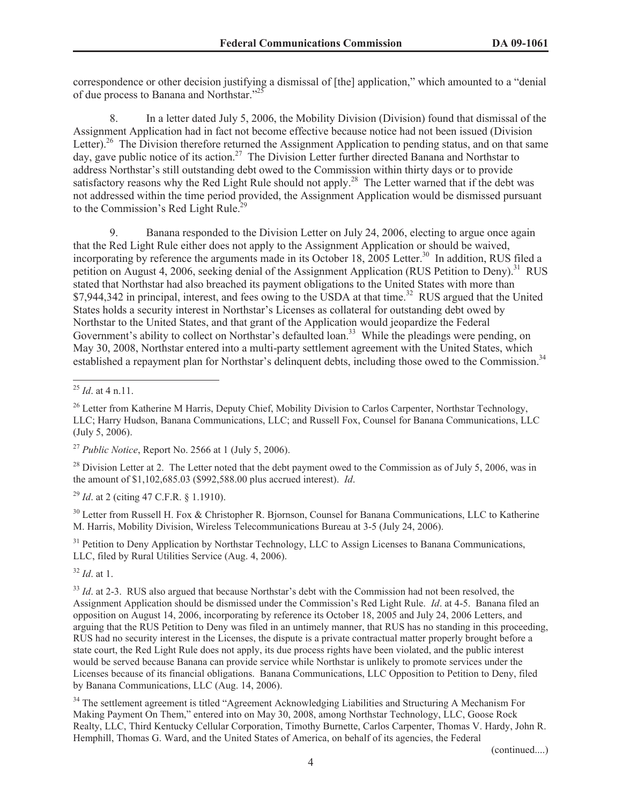correspondence or other decision justifying a dismissal of [the] application," which amounted to a "denial of due process to Banana and Northstar."<sup>25</sup>

8. In a letter dated July 5, 2006, the Mobility Division (Division) found that dismissal of the Assignment Application had in fact not become effective because notice had not been issued (Division Letter).<sup>26</sup> The Division therefore returned the Assignment Application to pending status, and on that same day, gave public notice of its action.<sup>27</sup> The Division Letter further directed Banana and Northstar to address Northstar's still outstanding debt owed to the Commission within thirty days or to provide satisfactory reasons why the Red Light Rule should not apply.<sup>28</sup> The Letter warned that if the debt was not addressed within the time period provided, the Assignment Application would be dismissed pursuant to the Commission's Red Light Rule.<sup>2</sup>

9. Banana responded to the Division Letter on July 24, 2006, electing to argue once again that the Red Light Rule either does not apply to the Assignment Application or should be waived, incorporating by reference the arguments made in its October 18, 2005 Letter.<sup>30</sup> In addition, RUS filed a petition on August 4, 2006, seeking denial of the Assignment Application (RUS Petition to Deny).<sup>31</sup> RUS stated that Northstar had also breached its payment obligations to the United States with more than \$7,944,342 in principal, interest, and fees owing to the USDA at that time.<sup>32</sup> RUS argued that the United States holds a security interest in Northstar's Licenses as collateral for outstanding debt owed by Northstar to the United States, and that grant of the Application would jeopardize the Federal Government's ability to collect on Northstar's defaulted loan.<sup>33</sup> While the pleadings were pending, on May 30, 2008, Northstar entered into a multi-party settlement agreement with the United States, which established a repayment plan for Northstar's delinquent debts, including those owed to the Commission.<sup>34</sup>

<sup>27</sup> *Public Notice*, Report No. 2566 at 1 (July 5, 2006).

 $^{28}$  Division Letter at 2. The Letter noted that the debt payment owed to the Commission as of July 5, 2006, was in the amount of \$1,102,685.03 (\$992,588.00 plus accrued interest). *Id*.

<sup>29</sup> *Id*. at 2 (citing 47 C.F.R. § 1.1910).

<sup>30</sup> Letter from Russell H. Fox & Christopher R. Bjornson, Counsel for Banana Communications, LLC to Katherine M. Harris, Mobility Division, Wireless Telecommunications Bureau at 3-5 (July 24, 2006).

<sup>31</sup> Petition to Deny Application by Northstar Technology, LLC to Assign Licenses to Banana Communications, LLC, filed by Rural Utilities Service (Aug. 4, 2006).

<sup>32</sup> *Id*. at 1.

<sup>33</sup> *Id.* at 2-3. RUS also argued that because Northstar's debt with the Commission had not been resolved, the Assignment Application should be dismissed under the Commission's Red Light Rule. *Id*. at 4-5. Banana filed an opposition on August 14, 2006, incorporating by reference its October 18, 2005 and July 24, 2006 Letters, and arguing that the RUS Petition to Deny was filed in an untimely manner, that RUS has no standing in this proceeding, RUS had no security interest in the Licenses, the dispute is a private contractual matter properly brought before a state court, the Red Light Rule does not apply, its due process rights have been violated, and the public interest would be served because Banana can provide service while Northstar is unlikely to promote services under the Licenses because of its financial obligations. Banana Communications, LLC Opposition to Petition to Deny, filed by Banana Communications, LLC (Aug. 14, 2006).

<sup>34</sup> The settlement agreement is titled "Agreement Acknowledging Liabilities and Structuring A Mechanism For Making Payment On Them," entered into on May 30, 2008, among Northstar Technology, LLC, Goose Rock Realty, LLC, Third Kentucky Cellular Corporation, Timothy Burnette, Carlos Carpenter, Thomas V. Hardy, John R. Hemphill, Thomas G. Ward, and the United States of America, on behalf of its agencies, the Federal

(continued....)

<sup>25</sup> *Id*. at 4 n.11.

<sup>&</sup>lt;sup>26</sup> Letter from Katherine M Harris, Deputy Chief, Mobility Division to Carlos Carpenter, Northstar Technology, LLC; Harry Hudson, Banana Communications, LLC; and Russell Fox, Counsel for Banana Communications, LLC (July 5, 2006).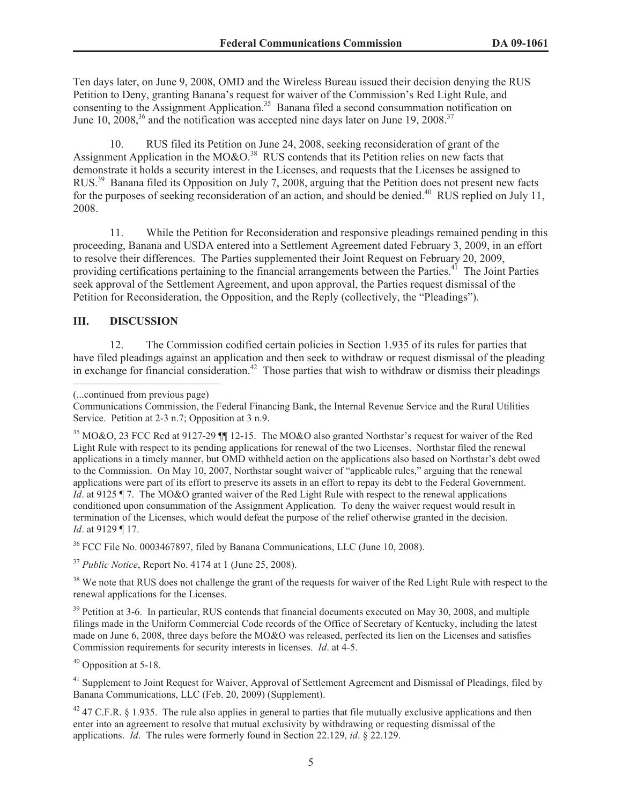Ten days later, on June 9, 2008, OMD and the Wireless Bureau issued their decision denying the RUS Petition to Deny, granting Banana's request for waiver of the Commission's Red Light Rule, and consenting to the Assignment Application.<sup>35</sup> Banana filed a second consummation notification on June 10,  $2008<sup>36</sup>$  and the notification was accepted nine days later on June 19,  $2008<sup>37</sup>$ 

10. RUS filed its Petition on June 24, 2008, seeking reconsideration of grant of the Assignment Application in the MO&O.<sup>38</sup> RUS contends that its Petition relies on new facts that demonstrate it holds a security interest in the Licenses, and requests that the Licenses be assigned to RUS.<sup>39</sup> Banana filed its Opposition on July 7, 2008, arguing that the Petition does not present new facts for the purposes of seeking reconsideration of an action, and should be denied.<sup>40</sup> RUS replied on July 11, 2008.

11. While the Petition for Reconsideration and responsive pleadings remained pending in this proceeding, Banana and USDA entered into a Settlement Agreement dated February 3, 2009, in an effort to resolve their differences. The Parties supplemented their Joint Request on February 20, 2009, providing certifications pertaining to the financial arrangements between the Parties.<sup>41</sup> The Joint Parties seek approval of the Settlement Agreement, and upon approval, the Parties request dismissal of the Petition for Reconsideration, the Opposition, and the Reply (collectively, the "Pleadings").

# **III. DISCUSSION**

12. The Commission codified certain policies in Section 1.935 of its rules for parties that have filed pleadings against an application and then seek to withdraw or request dismissal of the pleading in exchange for financial consideration.<sup>42</sup> Those parties that wish to withdraw or dismiss their pleadings

<sup>36</sup> FCC File No. 0003467897, filed by Banana Communications, LLC (June 10, 2008).

<sup>37</sup> *Public Notice*, Report No. 4174 at 1 (June 25, 2008).

<sup>38</sup> We note that RUS does not challenge the grant of the requests for waiver of the Red Light Rule with respect to the renewal applications for the Licenses.

<sup>39</sup> Petition at 3-6. In particular, RUS contends that financial documents executed on May 30, 2008, and multiple filings made in the Uniform Commercial Code records of the Office of Secretary of Kentucky, including the latest made on June 6, 2008, three days before the MO&O was released, perfected its lien on the Licenses and satisfies Commission requirements for security interests in licenses. *Id*. at 4-5.

<sup>40</sup> Opposition at 5-18.

<sup>41</sup> Supplement to Joint Request for Waiver, Approval of Settlement Agreement and Dismissal of Pleadings, filed by Banana Communications, LLC (Feb. 20, 2009) (Supplement).

 $42$  47 C.F.R. § 1.935. The rule also applies in general to parties that file mutually exclusive applications and then enter into an agreement to resolve that mutual exclusivity by withdrawing or requesting dismissal of the applications. *Id*. The rules were formerly found in Section 22.129, *id*. § 22.129.

<sup>(...</sup>continued from previous page)

Communications Commission, the Federal Financing Bank, the Internal Revenue Service and the Rural Utilities Service. Petition at 2-3 n.7; Opposition at 3 n.9.

<sup>35</sup> MO&O, 23 FCC Rcd at 9127-29 ¶¶ 12-15. The MO&O also granted Northstar's request for waiver of the Red Light Rule with respect to its pending applications for renewal of the two Licenses. Northstar filed the renewal applications in a timely manner, but OMD withheld action on the applications also based on Northstar's debt owed to the Commission. On May 10, 2007, Northstar sought waiver of "applicable rules," arguing that the renewal applications were part of its effort to preserve its assets in an effort to repay its debt to the Federal Government. *Id*. at 9125 ¶ 7. The MO&O granted waiver of the Red Light Rule with respect to the renewal applications conditioned upon consummation of the Assignment Application. To deny the waiver request would result in termination of the Licenses, which would defeat the purpose of the relief otherwise granted in the decision. *Id*. at 9129 ¶ 17.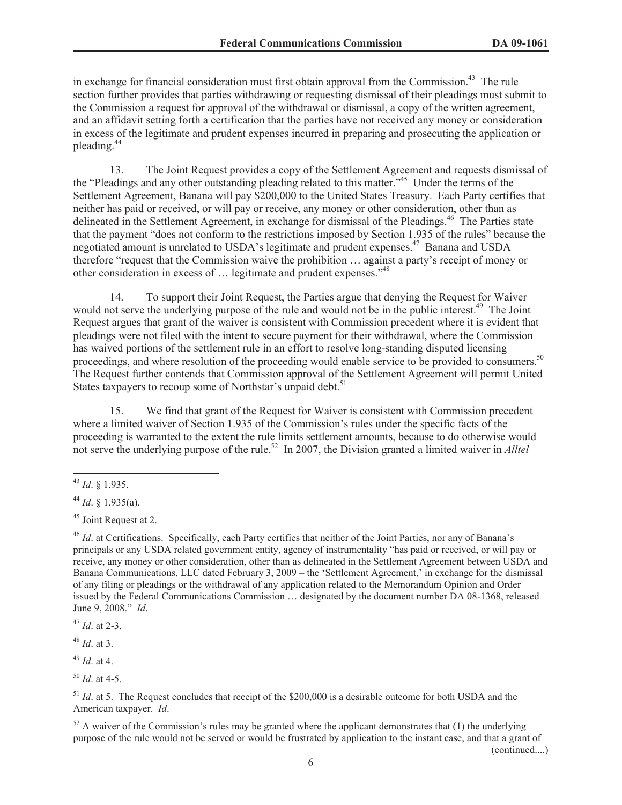in exchange for financial consideration must first obtain approval from the Commission.<sup>43</sup> The rule section further provides that parties withdrawing or requesting dismissal of their pleadings must submit to the Commission a request for approval of the withdrawal or dismissal, a copy of the written agreement, and an affidavit setting forth a certification that the parties have not received any money or consideration in excess of the legitimate and prudent expenses incurred in preparing and prosecuting the application or pleading.<sup>44</sup>

13. The Joint Request provides a copy of the Settlement Agreement and requests dismissal of the "Pleadings and any other outstanding pleading related to this matter."<sup>45</sup> Under the terms of the Settlement Agreement, Banana will pay \$200,000 to the United States Treasury. Each Party certifies that neither has paid or received, or will pay or receive, any money or other consideration, other than as delineated in the Settlement Agreement, in exchange for dismissal of the Pleadings.<sup>46</sup> The Parties state that the payment "does not conform to the restrictions imposed by Section 1.935 of the rules" because the negotiated amount is unrelated to USDA's legitimate and prudent expenses.<sup>47</sup> Banana and USDA therefore "request that the Commission waive the prohibition … against a party's receipt of money or other consideration in excess of … legitimate and prudent expenses."<sup>48</sup>

14. To support their Joint Request, the Parties argue that denying the Request for Waiver would not serve the underlying purpose of the rule and would not be in the public interest.<sup>49</sup> The Joint Request argues that grant of the waiver is consistent with Commission precedent where it is evident that pleadings were not filed with the intent to secure payment for their withdrawal, where the Commission has waived portions of the settlement rule in an effort to resolve long-standing disputed licensing proceedings, and where resolution of the proceeding would enable service to be provided to consumers.<sup>50</sup> The Request further contends that Commission approval of the Settlement Agreement will permit United States taxpayers to recoup some of Northstar's unpaid debt.<sup>51</sup>

15. We find that grant of the Request for Waiver is consistent with Commission precedent where a limited waiver of Section 1.935 of the Commission's rules under the specific facts of the proceeding is warranted to the extent the rule limits settlement amounts, because to do otherwise would not serve the underlying purpose of the rule.<sup>52</sup> In 2007, the Division granted a limited waiver in *Alltel* 

<sup>47</sup> *Id*. at 2-3.

<sup>48</sup> *Id*. at 3.

<sup>49</sup> *Id*. at 4.

<sup>50</sup> *Id*. at 4-5.

<sup>43</sup> *Id*. § 1.935.

<sup>44</sup> *Id*. § 1.935(a).

<sup>45</sup> Joint Request at 2.

<sup>&</sup>lt;sup>46</sup> *Id.* at Certifications. Specifically, each Party certifies that neither of the Joint Parties, nor any of Banana's principals or any USDA related government entity, agency of instrumentality "has paid or received, or will pay or receive, any money or other consideration, other than as delineated in the Settlement Agreement between USDA and Banana Communications, LLC dated February 3, 2009 – the 'Settlement Agreement,' in exchange for the dismissal of any filing or pleadings or the withdrawal of any application related to the Memorandum Opinion and Order issued by the Federal Communications Commission … designated by the document number DA 08-1368, released June 9, 2008." *Id*.

<sup>&</sup>lt;sup>51</sup> *Id.* at 5. The Request concludes that receipt of the \$200,000 is a desirable outcome for both USDA and the American taxpayer. *Id*.

 $52$  A waiver of the Commission's rules may be granted where the applicant demonstrates that (1) the underlying purpose of the rule would not be served or would be frustrated by application to the instant case, and that a grant of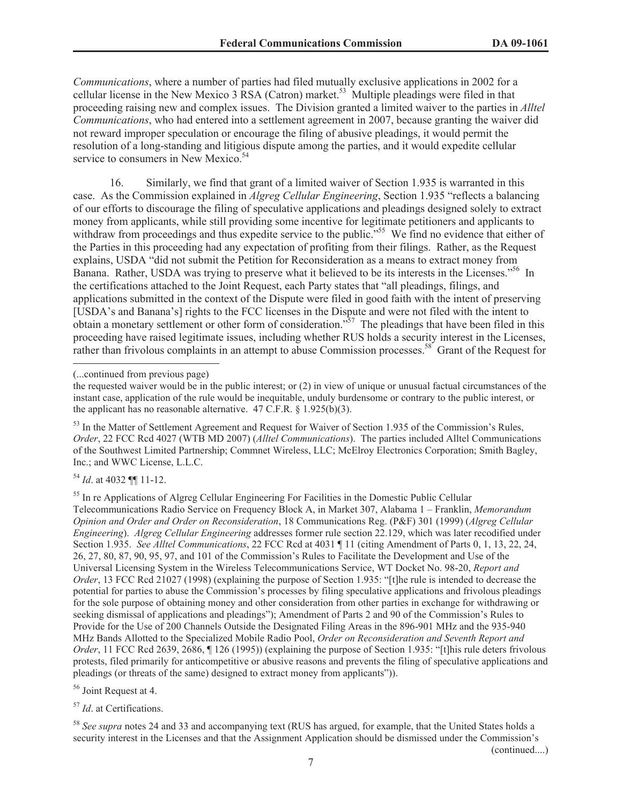*Communications*, where a number of parties had filed mutually exclusive applications in 2002 for a cellular license in the New Mexico 3 RSA (Catron) market.<sup>53</sup> Multiple pleadings were filed in that proceeding raising new and complex issues. The Division granted a limited waiver to the parties in *Alltel Communications*, who had entered into a settlement agreement in 2007, because granting the waiver did not reward improper speculation or encourage the filing of abusive pleadings, it would permit the resolution of a long-standing and litigious dispute among the parties, and it would expedite cellular service to consumers in New Mexico. $54$ 

16. Similarly, we find that grant of a limited waiver of Section 1.935 is warranted in this case. As the Commission explained in *Algreg Cellular Engineering*, Section 1.935 "reflects a balancing of our efforts to discourage the filing of speculative applications and pleadings designed solely to extract money from applicants, while still providing some incentive for legitimate petitioners and applicants to withdraw from proceedings and thus expedite service to the public."<sup>55</sup> We find no evidence that either of the Parties in this proceeding had any expectation of profiting from their filings. Rather, as the Request explains, USDA "did not submit the Petition for Reconsideration as a means to extract money from Banana. Rather, USDA was trying to preserve what it believed to be its interests in the Licenses."<sup>56</sup> In the certifications attached to the Joint Request, each Party states that "all pleadings, filings, and applications submitted in the context of the Dispute were filed in good faith with the intent of preserving [USDA's and Banana's] rights to the FCC licenses in the Dispute and were not filed with the intent to obtain a monetary settlement or other form of consideration."<sup>57</sup> The pleadings that have been filed in this proceeding have raised legitimate issues, including whether RUS holds a security interest in the Licenses, rather than frivolous complaints in an attempt to abuse Commission processes.<sup>58</sup> Grant of the Request for

<sup>54</sup> *Id*. at 4032 ¶¶ 11-12.

<sup>55</sup> In re Applications of Algreg Cellular Engineering For Facilities in the Domestic Public Cellular Telecommunications Radio Service on Frequency Block A, in Market 307, Alabama 1 – Franklin, *Memorandum Opinion and Order and Order on Reconsideration*, 18 Communications Reg. (P&F) 301 (1999) (*Algreg Cellular Engineering*). *Algreg Cellular Engineering* addresses former rule section 22.129, which was later recodified under Section 1.935. *See Alltel Communications*, 22 FCC Rcd at 4031 ¶ 11 (citing Amendment of Parts 0, 1, 13, 22, 24, 26, 27, 80, 87, 90, 95, 97, and 101 of the Commission's Rules to Facilitate the Development and Use of the Universal Licensing System in the Wireless Telecommunications Service, WT Docket No. 98-20, *Report and Order*, 13 FCC Rcd 21027 (1998) (explaining the purpose of Section 1.935: "[t]he rule is intended to decrease the potential for parties to abuse the Commission's processes by filing speculative applications and frivolous pleadings for the sole purpose of obtaining money and other consideration from other parties in exchange for withdrawing or seeking dismissal of applications and pleadings"); Amendment of Parts 2 and 90 of the Commission's Rules to Provide for the Use of 200 Channels Outside the Designated Filing Areas in the 896-901 MHz and the 935-940 MHz Bands Allotted to the Specialized Mobile Radio Pool, *Order on Reconsideration and Seventh Report and Order*, 11 FCC Rcd 2639, 2686, ¶ 126 (1995)) (explaining the purpose of Section 1.935: "[t]his rule deters frivolous protests, filed primarily for anticompetitive or abusive reasons and prevents the filing of speculative applications and pleadings (or threats of the same) designed to extract money from applicants")).

<sup>56</sup> Joint Request at 4.

<sup>57</sup> *Id*. at Certifications.

<sup>58</sup> *See supra* notes 24 and 33 and accompanying text (RUS has argued, for example, that the United States holds a security interest in the Licenses and that the Assignment Application should be dismissed under the Commission's

(continued....)

<sup>(...</sup>continued from previous page)

the requested waiver would be in the public interest; or (2) in view of unique or unusual factual circumstances of the instant case, application of the rule would be inequitable, unduly burdensome or contrary to the public interest, or the applicant has no reasonable alternative.  $47 \overline{C}$ .F.R.  $\frac{8}{1.925(b)(3)}$ .

<sup>&</sup>lt;sup>53</sup> In the Matter of Settlement Agreement and Request for Waiver of Section 1.935 of the Commission's Rules, *Order*, 22 FCC Rcd 4027 (WTB MD 2007) (*Alltel Communications*). The parties included Alltel Communications of the Southwest Limited Partnership; Commnet Wireless, LLC; McElroy Electronics Corporation; Smith Bagley, Inc.; and WWC License, L.L.C.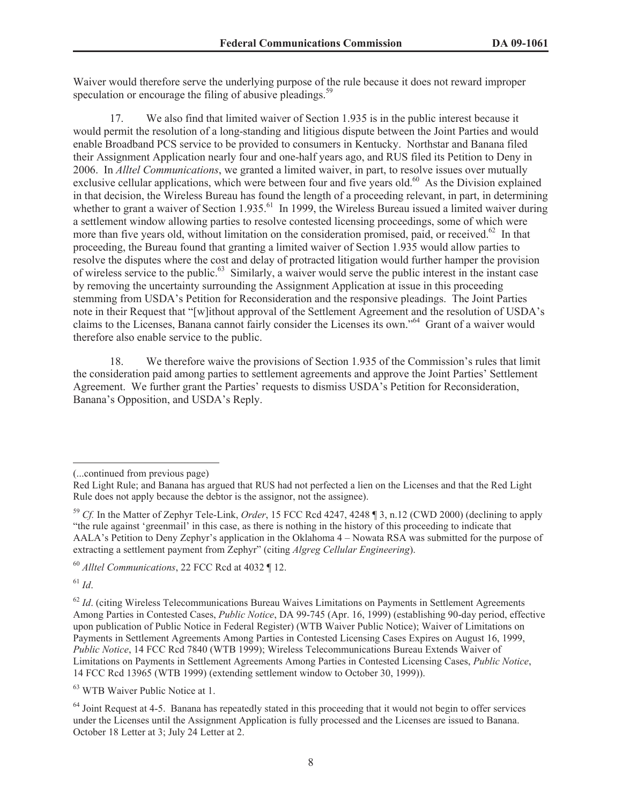Waiver would therefore serve the underlying purpose of the rule because it does not reward improper speculation or encourage the filing of abusive pleadings.<sup>59</sup>

17. We also find that limited waiver of Section 1.935 is in the public interest because it would permit the resolution of a long-standing and litigious dispute between the Joint Parties and would enable Broadband PCS service to be provided to consumers in Kentucky. Northstar and Banana filed their Assignment Application nearly four and one-half years ago, and RUS filed its Petition to Deny in 2006. In *Alltel Communications*, we granted a limited waiver, in part, to resolve issues over mutually exclusive cellular applications, which were between four and five years old.<sup>60</sup> As the Division explained in that decision, the Wireless Bureau has found the length of a proceeding relevant, in part, in determining whether to grant a waiver of Section 1.935.<sup>61</sup> In 1999, the Wireless Bureau issued a limited waiver during a settlement window allowing parties to resolve contested licensing proceedings, some of which were more than five years old, without limitation on the consideration promised, paid, or received.<sup>62</sup> In that proceeding, the Bureau found that granting a limited waiver of Section 1.935 would allow parties to resolve the disputes where the cost and delay of protracted litigation would further hamper the provision of wireless service to the public.<sup>63</sup> Similarly, a waiver would serve the public interest in the instant case by removing the uncertainty surrounding the Assignment Application at issue in this proceeding stemming from USDA's Petition for Reconsideration and the responsive pleadings. The Joint Parties note in their Request that "[w]ithout approval of the Settlement Agreement and the resolution of USDA's claims to the Licenses, Banana cannot fairly consider the Licenses its own."<sup>64</sup> Grant of a waiver would therefore also enable service to the public.

18. We therefore waive the provisions of Section 1.935 of the Commission's rules that limit the consideration paid among parties to settlement agreements and approve the Joint Parties' Settlement Agreement. We further grant the Parties' requests to dismiss USDA's Petition for Reconsideration, Banana's Opposition, and USDA's Reply.

<sup>61</sup> *Id*.

<sup>63</sup> WTB Waiver Public Notice at 1.

<sup>(...</sup>continued from previous page)

Red Light Rule; and Banana has argued that RUS had not perfected a lien on the Licenses and that the Red Light Rule does not apply because the debtor is the assignor, not the assignee).

<sup>59</sup> *Cf.* In the Matter of Zephyr Tele-Link, *Order*, 15 FCC Rcd 4247, 4248 ¶ 3, n.12 (CWD 2000) (declining to apply "the rule against 'greenmail' in this case, as there is nothing in the history of this proceeding to indicate that AALA's Petition to Deny Zephyr's application in the Oklahoma 4 – Nowata RSA was submitted for the purpose of extracting a settlement payment from Zephyr" (citing *Algreg Cellular Engineering*).

<sup>60</sup> *Alltel Communications*, 22 FCC Rcd at 4032 ¶ 12.

<sup>&</sup>lt;sup>62</sup> *Id.* (citing Wireless Telecommunications Bureau Waives Limitations on Payments in Settlement Agreements Among Parties in Contested Cases, *Public Notice*, DA 99-745 (Apr. 16, 1999) (establishing 90-day period, effective upon publication of Public Notice in Federal Register) (WTB Waiver Public Notice); Waiver of Limitations on Payments in Settlement Agreements Among Parties in Contested Licensing Cases Expires on August 16, 1999, *Public Notice*, 14 FCC Rcd 7840 (WTB 1999); Wireless Telecommunications Bureau Extends Waiver of Limitations on Payments in Settlement Agreements Among Parties in Contested Licensing Cases, *Public Notice*, 14 FCC Rcd 13965 (WTB 1999) (extending settlement window to October 30, 1999)).

<sup>&</sup>lt;sup>64</sup> Joint Request at 4-5. Banana has repeatedly stated in this proceeding that it would not begin to offer services under the Licenses until the Assignment Application is fully processed and the Licenses are issued to Banana. October 18 Letter at 3; July 24 Letter at 2.